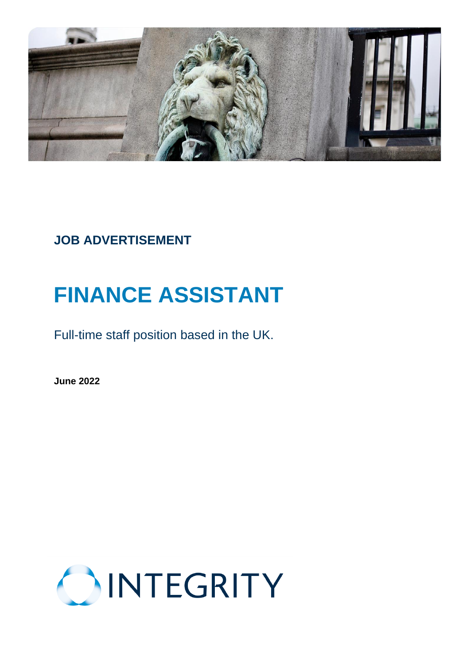

# **JOB ADVERTISEMENT**

# **FINANCE ASSISTANT**

Full-time staff position based in the UK.

**June 2022**

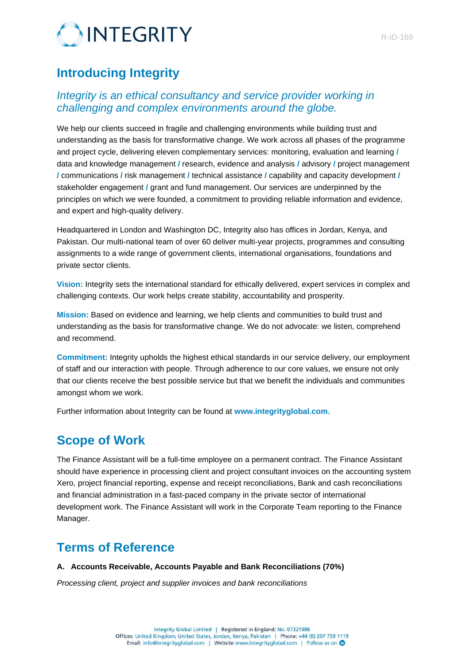

## **Introducing Integrity**

### *Integrity is an ethical consultancy and service provider working in challenging and complex environments around the globe.*

We help our clients succeed in fragile and challenging environments while building trust and understanding as the basis for transformative change. We work across all phases of the programme and project cycle, delivering eleven complementary services: monitoring, evaluation and learning **/** data and knowledge management **/** research, evidence and analysis **/** advisory **/** project management **/** communications **/** risk management **/** technical assistance **/** capability and capacity development **/** stakeholder engagement **/** grant and fund management. Our services are underpinned by the principles on which we were founded, a commitment to providing reliable information and evidence, and expert and high-quality delivery.

Headquartered in London and Washington DC, Integrity also has offices in Jordan, Kenya, and Pakistan. Our multi-national team of over 60 deliver multi-year projects, programmes and consulting assignments to a wide range of government clients, international organisations, foundations and private sector clients.

**Vision:** Integrity sets the international standard for ethically delivered, expert services in complex and challenging contexts. Our work helps create stability, accountability and prosperity.

**Mission:** Based on evidence and learning, we help clients and communities to build trust and understanding as the basis for transformative change. We do not advocate: we listen, comprehend and recommend.

**Commitment:** Integrity upholds the highest ethical standards in our service delivery, our employment of staff and our interaction with people. Through adherence to our core values, we ensure not only that our clients receive the best possible service but that we benefit the individuals and communities amongst whom we work.

Further information about Integrity can be found at **[www.integrityglobal.com.](http://www.integrityglobal.com/)**

## **Scope of Work**

The Finance Assistant will be a full-time employee on a permanent contract. The Finance Assistant should have experience in processing client and project consultant invoices on the accounting system Xero, project financial reporting, expense and receipt reconciliations, Bank and cash reconciliations and financial administration in a fast-paced company in the private sector of international development work. The Finance Assistant will work in the Corporate Team reporting to the Finance Manager.

## **Terms of Reference**

#### **A. Accounts Receivable, Accounts Payable and Bank Reconciliations (70%)**

*Processing client, project and supplier invoices and bank reconciliations*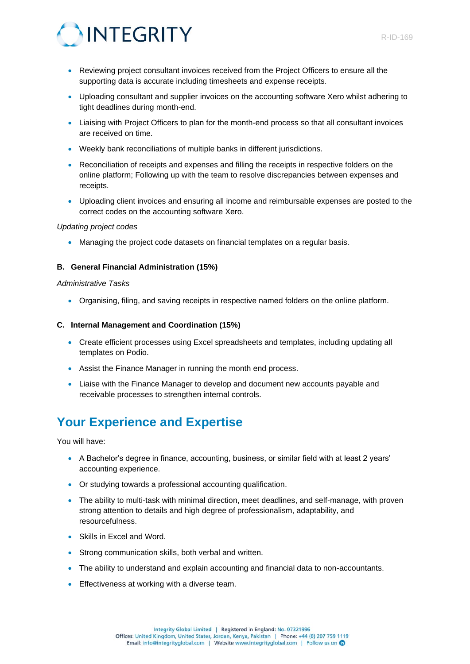



- Reviewing project consultant invoices received from the Project Officers to ensure all the supporting data is accurate including timesheets and expense receipts.
- Uploading consultant and supplier invoices on the accounting software Xero whilst adhering to tight deadlines during month-end.
- Liaising with Project Officers to plan for the month-end process so that all consultant invoices are received on time.
- Weekly bank reconciliations of multiple banks in different jurisdictions.
- Reconciliation of receipts and expenses and filling the receipts in respective folders on the online platform; Following up with the team to resolve discrepancies between expenses and receipts.
- Uploading client invoices and ensuring all income and reimbursable expenses are posted to the correct codes on the accounting software Xero.

#### *Updating project codes*

• Managing the project code datasets on financial templates on a regular basis.

#### **B. General Financial Administration (15%)**

#### *Administrative Tasks*

• Organising, filing, and saving receipts in respective named folders on the online platform.

#### **C. Internal Management and Coordination (15%)**

- Create efficient processes using Excel spreadsheets and templates, including updating all templates on Podio.
- Assist the Finance Manager in running the month end process.
- Liaise with the Finance Manager to develop and document new accounts payable and receivable processes to strengthen internal controls.

## **Your Experience and Expertise**

You will have:

- A Bachelor's degree in finance, accounting, business, or similar field with at least 2 years' accounting experience.
- Or studying towards a professional accounting qualification.
- The ability to multi-task with minimal direction, meet deadlines, and self-manage, with proven strong attention to details and high degree of professionalism, adaptability, and resourcefulness.
- Skills in Excel and Word.
- Strong communication skills, both verbal and written.
- The ability to understand and explain accounting and financial data to non-accountants.
- Effectiveness at working with a diverse team.